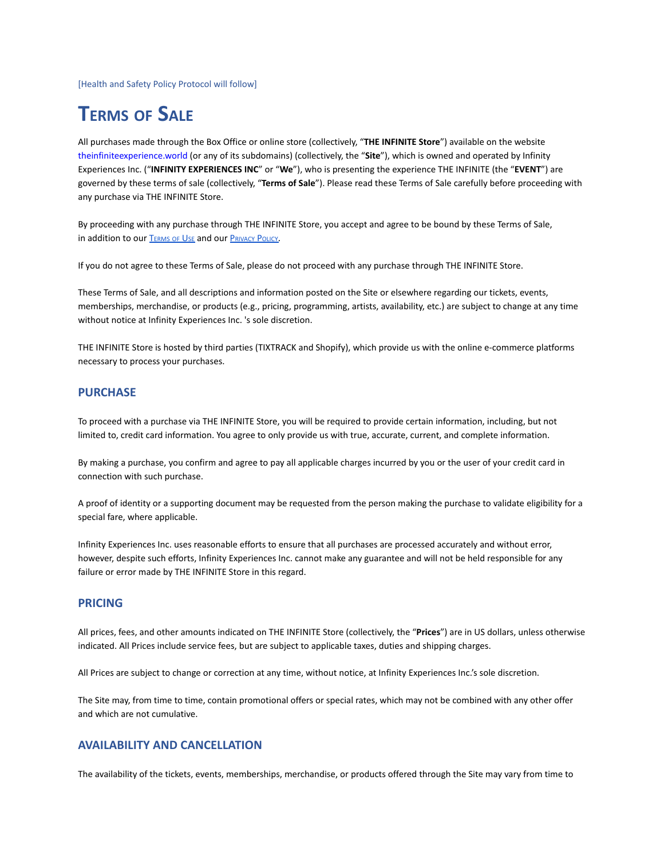[Health and Safety Policy Protocol will follow]

## **TERMS OF SALE**

All purchases made through the Box Office or online store (collectively, "**THE INFINITE Store**") available on the website theinfiniteexperience.world (or any of its subdomains) (collectively, the "**Site**"), which is owned and operated by Infinity Experiences Inc. ("**INFINITY EXPERIENCES INC**" or "**We**"), who is presenting the experience THE INFINITE (the "**EVENT**") are governed by these terms of sale (collectively, "**Terms of Sale**"). Please read these Terms of Sale carefully before proceeding with any purchase via THE INFINITE Store.

By proceeding with any purchase through THE INFINITE Store, you accept and agree to be bound by these Terms of Sale, in addition to our **T[ERMS](https://phi.ca/uploads/STUDIO/THE-INFINITE-Tour/Terms-of-Use-EN.pdf) OF USE** and our **P[RIVACY](https://phi.ca/uploads/STUDIO/THE-INFINITE-Tour/Privacy-Policy-EN.pdf) POLICY**.

If you do not agree to these Terms of Sale, please do not proceed with any purchase through THE INFINITE Store.

These Terms of Sale, and all descriptions and information posted on the Site or elsewhere regarding our tickets, events, memberships, merchandise, or products (e.g., pricing, programming, artists, availability, etc.) are subject to change at any time without notice at Infinity Experiences Inc. 's sole discretion.

THE INFINITE Store is hosted by third parties (TIXTRACK and Shopify), which provide us with the online e-commerce platforms necessary to process your purchases.

## **PURCHASE**

To proceed with a purchase via THE INFINITE Store, you will be required to provide certain information, including, but not limited to, credit card information. You agree to only provide us with true, accurate, current, and complete information.

By making a purchase, you confirm and agree to pay all applicable charges incurred by you or the user of your credit card in connection with such purchase.

A proof of identity or a supporting document may be requested from the person making the purchase to validate eligibility for a special fare, where applicable.

Infinity Experiences Inc. uses reasonable efforts to ensure that all purchases are processed accurately and without error, however, despite such efforts, Infinity Experiences Inc. cannot make any guarantee and will not be held responsible for any failure or error made by THE INFINITE Store in this regard.

### **PRICING**

All prices, fees, and other amounts indicated on THE INFINITE Store (collectively, the "**Prices**") are in US dollars, unless otherwise indicated. All Prices include service fees, but are subject to applicable taxes, duties and shipping charges.

All Prices are subject to change or correction at any time, without notice, at Infinity Experiences Inc.'s sole discretion.

The Site may, from time to time, contain promotional offers or special rates, which may not be combined with any other offer and which are not cumulative.

## **AVAILABILITY AND CANCELLATION**

The availability of the tickets, events, memberships, merchandise, or products offered through the Site may vary from time to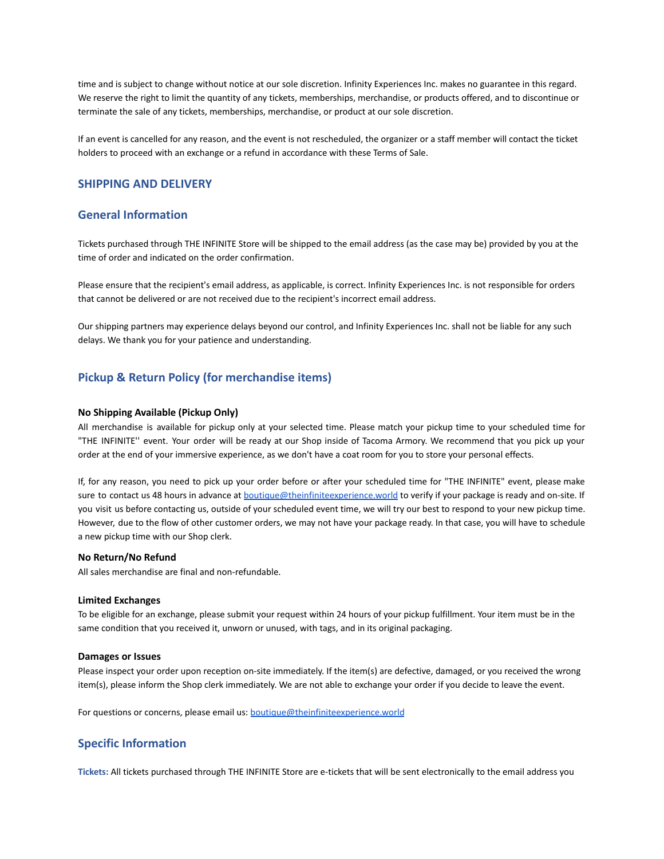time and is subject to change without notice at our sole discretion. Infinity Experiences Inc. makes no guarantee in this regard. We reserve the right to limit the quantity of any tickets, memberships, merchandise, or products offered, and to discontinue or terminate the sale of any tickets, memberships, merchandise, or product at our sole discretion.

If an event is cancelled for any reason, and the event is not rescheduled, the organizer or a staff member will contact the ticket holders to proceed with an exchange or a refund in accordance with these Terms of Sale.

## **SHIPPING AND DELIVERY**

## **General Information**

Tickets purchased through THE INFINITE Store will be shipped to the email address (as the case may be) provided by you at the time of order and indicated on the order confirmation.

Please ensure that the recipient's email address, as applicable, is correct. Infinity Experiences Inc. is not responsible for orders that cannot be delivered or are not received due to the recipient's incorrect email address.

Our shipping partners may experience delays beyond our control, and Infinity Experiences Inc. shall not be liable for any such delays. We thank you for your patience and understanding.

## **Pickup & Return Policy (for merchandise items)**

#### **No Shipping Available (Pickup Only)**

All merchandise is available for pickup only at your selected time. Please match your pickup time to your scheduled time for "THE INFINITE'' event. Your order will be ready at our Shop inside of Tacoma Armory. We recommend that you pick up your order at the end of your immersive experience, as we don't have a coat room for you to store your personal effects.

If, for any reason, you need to pick up your order before or after your scheduled time for "THE INFINITE" event, please make sure to contact us 48 hours in advance at **[boutique@theinfiniteexperience.world](mailto:boutique@theinfiniteexperience.world)** to verify if your package is ready and on-site. If you visit us before contacting us, outside of your scheduled event time, we will try our best to respond to your new pickup time. However, due to the flow of other customer orders, we may not have your package ready. In that case, you will have to schedule a new pickup time with our Shop clerk.

#### **No Return/No Refund**

All sales merchandise are final and non-refundable.

#### **Limited Exchanges**

To be eligible for an exchange, please submit your request within 24 hours of your pickup fulfillment. Your item must be in the same condition that you received it, unworn or unused, with tags, and in its original packaging.

#### **Damages or Issues**

Please inspect your order upon reception on-site immediately. If the item(s) are defective, damaged, or you received the wrong item(s), please inform the Shop clerk immediately. We are not able to exchange your order if you decide to leave the event.

For questions or concerns, please email us: [boutique@theinfiniteexperience.world](mailto:boutique@theinfiniteexperience.world)

## **Specific Information**

**Tickets:** All tickets purchased through THE INFINITE Store are e-tickets that will be sent electronically to the email address you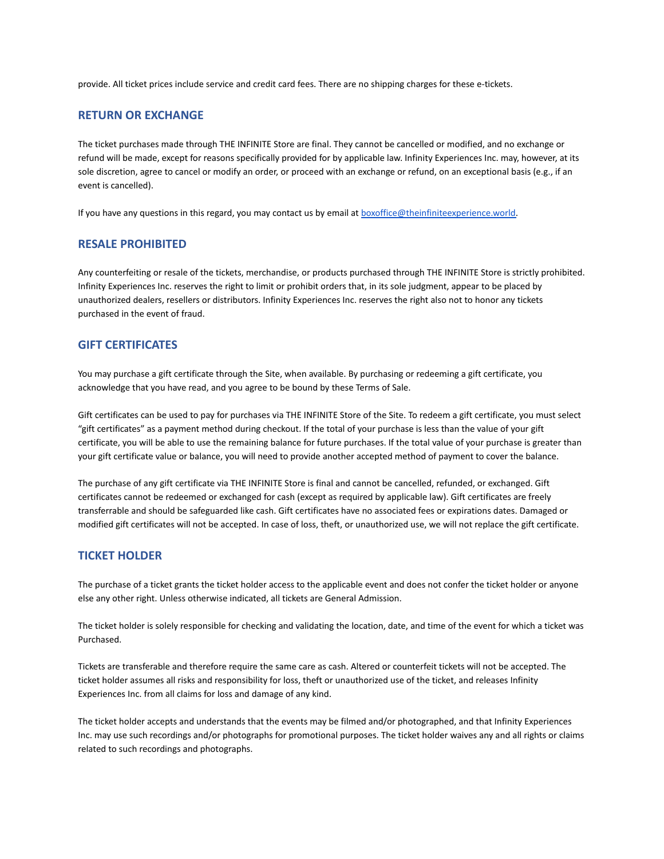provide. All ticket prices include service and credit card fees. There are no shipping charges for these e-tickets.

## **RETURN OR EXCHANGE**

The ticket purchases made through THE INFINITE Store are final. They cannot be cancelled or modified, and no exchange or refund will be made, except for reasons specifically provided for by applicable law. Infinity Experiences Inc. may, however, at its sole discretion, agree to cancel or modify an order, or proceed with an exchange or refund, on an exceptional basis (e.g., if an event is cancelled).

If you have any questions in this regard, you may contact us by email at **boxoffice@theinfiniteexperience.world**.

## **RESALE PROHIBITED**

Any counterfeiting or resale of the tickets, merchandise, or products purchased through THE INFINITE Store is strictly prohibited. Infinity Experiences Inc. reserves the right to limit or prohibit orders that, in its sole judgment, appear to be placed by unauthorized dealers, resellers or distributors. Infinity Experiences Inc. reserves the right also not to honor any tickets purchased in the event of fraud.

## **GIFT CERTIFICATES**

You may purchase a gift certificate through the Site, when available. By purchasing or redeeming a gift certificate, you acknowledge that you have read, and you agree to be bound by these Terms of Sale.

Gift certificates can be used to pay for purchases via THE INFINITE Store of the Site. To redeem a gift certificate, you must select "gift certificates" as a payment method during checkout. If the total of your purchase is less than the value of your gift certificate, you will be able to use the remaining balance for future purchases. If the total value of your purchase is greater than your gift certificate value or balance, you will need to provide another accepted method of payment to cover the balance.

The purchase of any gift certificate via THE INFINITE Store is final and cannot be cancelled, refunded, or exchanged. Gift certificates cannot be redeemed or exchanged for cash (except as required by applicable law). Gift certificates are freely transferrable and should be safeguarded like cash. Gift certificates have no associated fees or expirations dates. Damaged or modified gift certificates will not be accepted. In case of loss, theft, or unauthorized use, we will not replace the gift certificate.

## **TICKET HOLDER**

The purchase of a ticket grants the ticket holder access to the applicable event and does not confer the ticket holder or anyone else any other right. Unless otherwise indicated, all tickets are General Admission.

The ticket holder is solely responsible for checking and validating the location, date, and time of the event for which a ticket was Purchased.

Tickets are transferable and therefore require the same care as cash. Altered or counterfeit tickets will not be accepted. The ticket holder assumes all risks and responsibility for loss, theft or unauthorized use of the ticket, and releases Infinity Experiences Inc. from all claims for loss and damage of any kind.

The ticket holder accepts and understands that the events may be filmed and/or photographed, and that Infinity Experiences Inc. may use such recordings and/or photographs for promotional purposes. The ticket holder waives any and all rights or claims related to such recordings and photographs.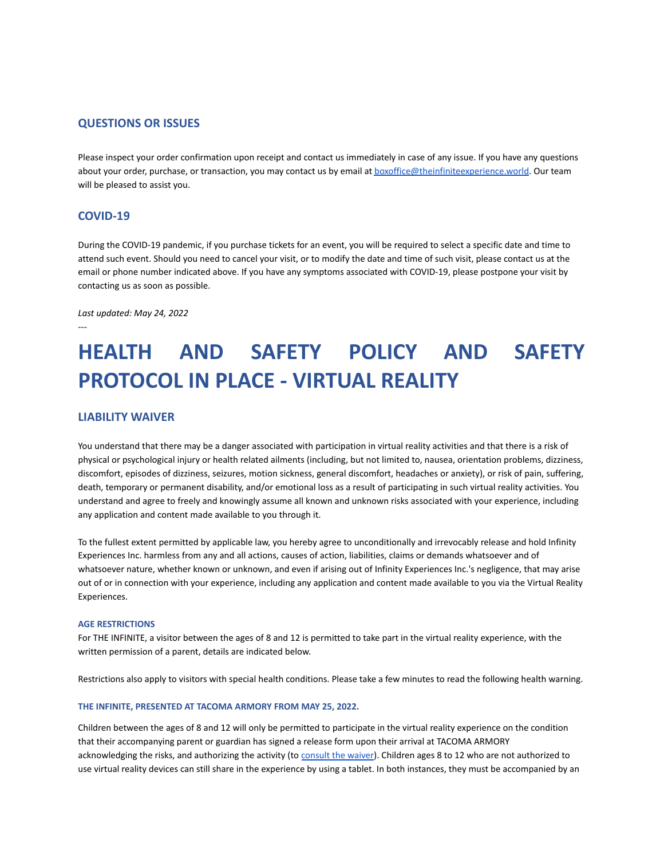## **QUESTIONS OR ISSUES**

Please inspect your order confirmation upon receipt and contact us immediately in case of any issue. If you have any questions about your order, purchase, or transaction, you may contact us by email at [boxoffice@theinfiniteexperience.world.](mailto:boxoffice@theinfiniteexperience.world) Our team will be pleased to assist you.

## **COVID-19**

---

During the COVID-19 pandemic, if you purchase tickets for an event, you will be required to select a specific date and time to attend such event. Should you need to cancel your visit, or to modify the date and time of such visit, please contact us at the email or phone number indicated above. If you have any symptoms associated with COVID-19, please postpone your visit by contacting us as soon as possible.

*Last updated: May 24, 2022*

# **HEALTH AND SAFETY POLICY AND SAFETY PROTOCOL IN PLACE - VIRTUAL REALITY**

## **LIABILITY WAIVER**

You understand that there may be a danger associated with participation in virtual reality activities and that there is a risk of physical or psychological injury or health related ailments (including, but not limited to, nausea, orientation problems, dizziness, discomfort, episodes of dizziness, seizures, motion sickness, general discomfort, headaches or anxiety), or risk of pain, suffering, death, temporary or permanent disability, and/or emotional loss as a result of participating in such virtual reality activities. You understand and agree to freely and knowingly assume all known and unknown risks associated with your experience, including any application and content made available to you through it.

To the fullest extent permitted by applicable law, you hereby agree to unconditionally and irrevocably release and hold Infinity Experiences Inc. harmless from any and all actions, causes of action, liabilities, claims or demands whatsoever and of whatsoever nature, whether known or unknown, and even if arising out of Infinity Experiences Inc.'s negligence, that may arise out of or in connection with your experience, including any application and content made available to you via the Virtual Reality Experiences.

#### **AGE RESTRICTIONS**

For THE INFINITE, a visitor between the ages of 8 and 12 is permitted to take part in the virtual reality experience, with the written permission of a parent, details are indicated below.

Restrictions also apply to visitors with special health conditions. Please take a few minutes to read the following health warning.

#### **THE INFINITE, PRESENTED AT TACOMA ARMORY FROM MAY 25, 2022.**

Children between the ages of 8 and 12 will only be permitted to participate in the virtual reality experience on the condition that their accompanying parent or guardian has signed a release form upon their arrival at TACOMA ARMORY acknowledging the risks, and authorizing the activity (to [consult the waiver\)](https://drive.google.com/file/d/1RJiHtCXAPWeRuH1dAELQXL9AkR7a9tNQ/view). Children ages 8 to 12 who are not authorized to use virtual reality devices can still share in the experience by using a tablet. In both instances, they must be accompanied by an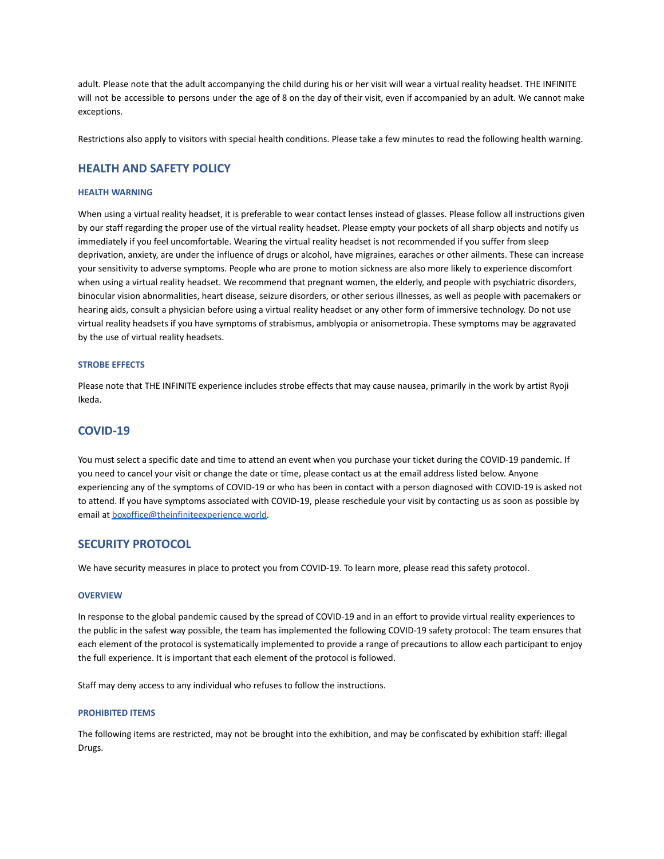adult. Please note that the adult accompanying the child during his or her visit will wear a virtual reality headset. THE INFINITE will not be accessible to persons under the age of 8 on the day of their visit, even if accompanied by an adult. We cannot make exceptions.

Restrictions also apply to visitors with special health conditions. Please take a few minutes to read the following health warning.

## **HEALTH AND SAFETY POLICY**

#### **HEALTH WARNING**

When using a virtual reality headset, it is preferable to wear contact lenses instead of glasses. Please follow all instructions given by our staff regarding the proper use of the virtual reality headset. Please empty your pockets of all sharp objects and notify us immediately if you feel uncomfortable. Wearing the virtual reality headset is not recommended if you suffer from sleep deprivation, anxiety, are under the influence of drugs or alcohol, have migraines, earaches or other ailments. These can increase your sensitivity to adverse symptoms. People who are prone to motion sickness are also more likely to experience discomfort when using a virtual reality headset. We recommend that pregnant women, the elderly, and people with psychiatric disorders, binocular vision abnormalities, heart disease, seizure disorders, or other serious illnesses, as well as people with pacemakers or hearing aids, consult a physician before using a virtual reality headset or any other form of immersive technology. Do not use virtual reality headsets if you have symptoms of strabismus, amblyopia or anisometropia. These symptoms may be aggravated by the use of virtual reality headsets.

#### **STROBE EFFECTS**

Please note that THE INFINITE experience includes strobe effects that may cause nausea, primarily in the work by artist Ryoji Ikeda.

#### **COVID-19**

You must select a specific date and time to attend an event when you purchase your ticket during the COVID-19 pandemic. If you need to cancel your visit or change the date or time, please contact us at the email address listed below. Anyone experiencing any of the symptoms of COVID-19 or who has been in contact with a person diagnosed with COVID-19 is asked not to attend. If you have symptoms associated with COVID-19, please reschedule your visit by contacting us as soon as possible by email at [boxoffice@theinfiniteexperience.world](mailto:boxoffice@theinfiniteexperience.world).

## **SECURITY PROTOCOL**

We have security measures in place to protect you from COVID-19. To learn more, please read this safety protocol.

#### **OVERVIEW**

In response to the global pandemic caused by the spread of COVID-19 and in an effort to provide virtual reality experiences to the public in the safest way possible, the team has implemented the following COVID-19 safety protocol: The team ensures that each element of the protocol is systematically implemented to provide a range of precautions to allow each participant to enjoy the full experience. It is important that each element of the protocol is followed.

Staff may deny access to any individual who refuses to follow the instructions.

#### **PROHIBITED ITEMS**

The following items are restricted, may not be brought into the exhibition, and may be confiscated by exhibition staff: illegal Drugs.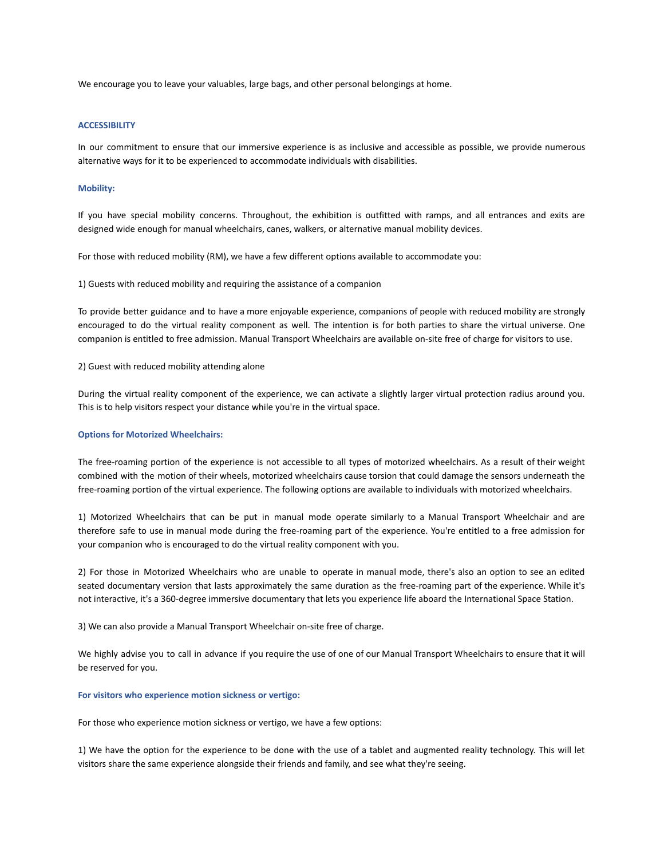We encourage you to leave your valuables, large bags, and other personal belongings at home.

#### **ACCESSIBILITY**

In our commitment to ensure that our immersive experience is as inclusive and accessible as possible, we provide numerous alternative ways for it to be experienced to accommodate individuals with disabilities.

#### **Mobility:**

If you have special mobility concerns. Throughout, the exhibition is outfitted with ramps, and all entrances and exits are designed wide enough for manual wheelchairs, canes, walkers, or alternative manual mobility devices.

For those with reduced mobility (RM), we have a few different options available to accommodate you:

1) Guests with reduced mobility and requiring the assistance of a companion

To provide better guidance and to have a more enjoyable experience, companions of people with reduced mobility are strongly encouraged to do the virtual reality component as well. The intention is for both parties to share the virtual universe. One companion is entitled to free admission. Manual Transport Wheelchairs are available on-site free of charge for visitors to use.

2) Guest with reduced mobility attending alone

During the virtual reality component of the experience, we can activate a slightly larger virtual protection radius around you. This is to help visitors respect your distance while you're in the virtual space.

#### **Options for Motorized Wheelchairs:**

The free-roaming portion of the experience is not accessible to all types of motorized wheelchairs. As a result of their weight combined with the motion of their wheels, motorized wheelchairs cause torsion that could damage the sensors underneath the free-roaming portion of the virtual experience. The following options are available to individuals with motorized wheelchairs.

1) Motorized Wheelchairs that can be put in manual mode operate similarly to a Manual Transport Wheelchair and are therefore safe to use in manual mode during the free-roaming part of the experience. You're entitled to a free admission for your companion who is encouraged to do the virtual reality component with you.

2) For those in Motorized Wheelchairs who are unable to operate in manual mode, there's also an option to see an edited seated documentary version that lasts approximately the same duration as the free-roaming part of the experience. While it's not interactive, it's a 360-degree immersive documentary that lets you experience life aboard the International Space Station.

3) We can also provide a Manual Transport Wheelchair on-site free of charge.

We highly advise you to call in advance if you require the use of one of our Manual Transport Wheelchairs to ensure that it will be reserved for you.

#### **For visitors who experience motion sickness or vertigo:**

For those who experience motion sickness or vertigo, we have a few options:

1) We have the option for the experience to be done with the use of a tablet and augmented reality technology. This will let visitors share the same experience alongside their friends and family, and see what they're seeing.